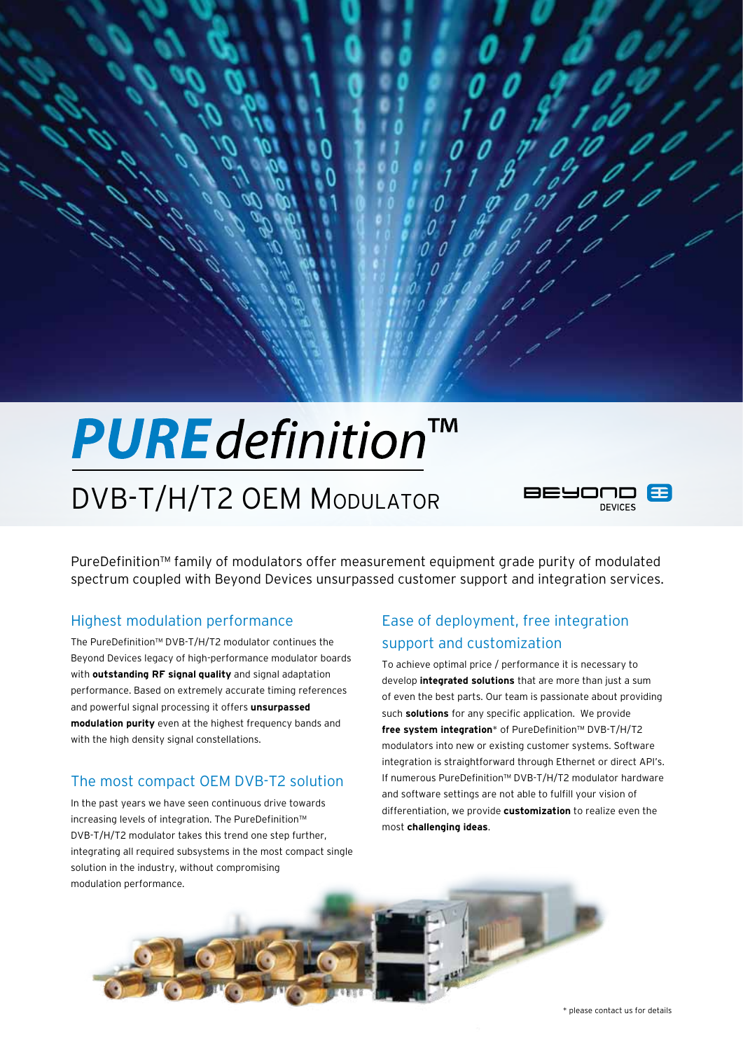# **PURE** definition™ DVB-T/H/T2 OEM Modulator



PureDefinition™ family of modulators offer measurement equipment grade purity of modulated spectrum coupled with Beyond Devices unsurpassed customer support and integration services.

#### Highest modulation performance

The PureDefinition™ DVB-T/H/T2 modulator continues the Beyond Devices legacy of high-performance modulator boards with **outstanding RF signal quality** and signal adaptation performance. Based on extremely accurate timing references and powerful signal processing it offers **unsurpassed modulation purity** even at the highest frequency bands and with the high density signal constellations.

#### The most compact OEM DVB-T2 solution

In the past years we have seen continuous drive towards increasing levels of integration. The PureDefinition™ DVB-T/H/T2 modulator takes this trend one step further, integrating all required subsystems in the most compact single solution in the industry, without compromising modulation performance.

# Ease of deployment, free integration support and customization

To achieve optimal price / performance it is necessary to develop **integrated solutions** that are more than just a sum of even the best parts. Our team is passionate about providing such **solutions** for any specific application. We provide **free system integration**<sup>\*</sup> of PureDefinition<sup>™</sup> DVB-T/H/T2 modulators into new or existing customer systems. Software integration is straightforward through Ethernet or direct API's. If numerous PureDefinition™ DVB-T/H/T2 modulator hardware and software settings are not able to fulfill your vision of differentiation, we provide **customization** to realize even the most **challenging ideas**.